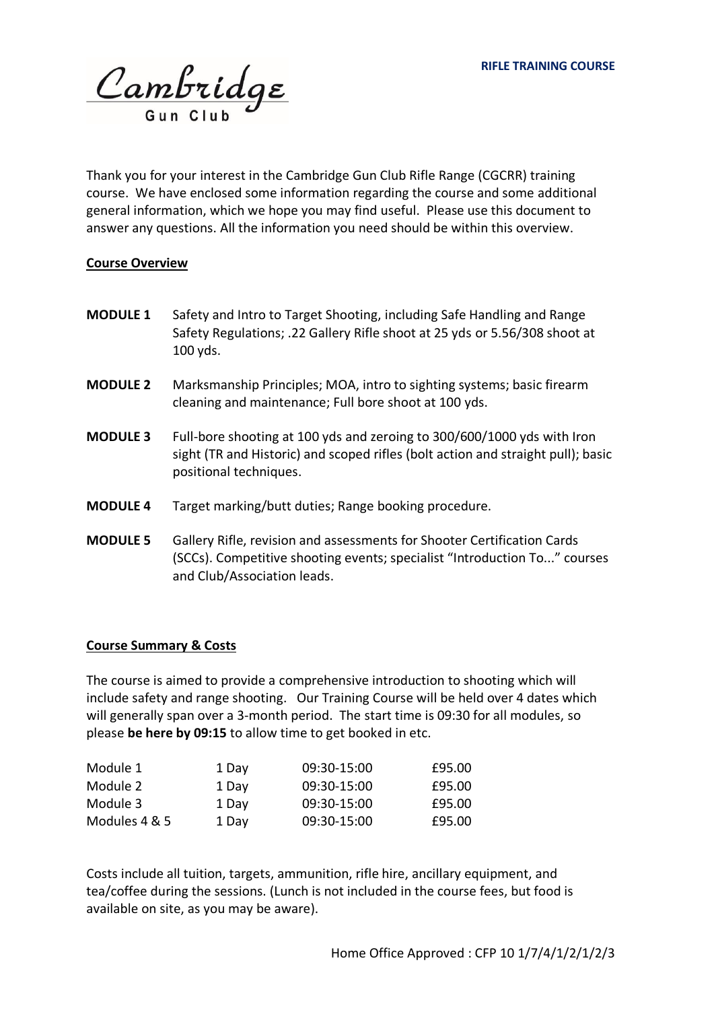Cambridge

Thank you for your interest in the Cambridge Gun Club Rifle Range (CGCRR) training course. We have enclosed some information regarding the course and some additional general information, which we hope you may find useful. Please use this document to answer any questions. All the information you need should be within this overview.

### **Course Overview**

- **MODULE 1** Safety and Intro to Target Shooting, including Safe Handling and Range Safety Regulations; .22 Gallery Rifle shoot at 25 yds or 5.56/308 shoot at 100 yds.
- **MODULE 2** Marksmanship Principles; MOA, intro to sighting systems; basic firearm cleaning and maintenance; Full bore shoot at 100 yds.
- **MODULE 3** Full-bore shooting at 100 yds and zeroing to 300/600/1000 yds with Iron sight (TR and Historic) and scoped rifles (bolt action and straight pull); basic positional techniques.
- **MODULE 4** Target marking/butt duties; Range booking procedure.
- **MODULE 5** Gallery Rifle, revision and assessments for Shooter Certification Cards (SCCs). Competitive shooting events; specialist "Introduction To..." courses and Club/Association leads.

### **Course Summary & Costs**

The course is aimed to provide a comprehensive introduction to shooting which will include safety and range shooting. Our Training Course will be held over 4 dates which will generally span over a 3-month period. The start time is 09:30 for all modules, so please **be here by 09:15** to allow time to get booked in etc.

| Module 1      | 1 Day | 09:30-15:00 | £95.00 |
|---------------|-------|-------------|--------|
| Module 2      | 1 Day | 09:30-15:00 | £95.00 |
| Module 3      | 1 Day | 09:30-15:00 | £95.00 |
| Modules 4 & 5 | 1 Day | 09:30-15:00 | £95.00 |

Costs include all tuition, targets, ammunition, rifle hire, ancillary equipment, and tea/coffee during the sessions. (Lunch is not included in the course fees, but food is available on site, as you may be aware).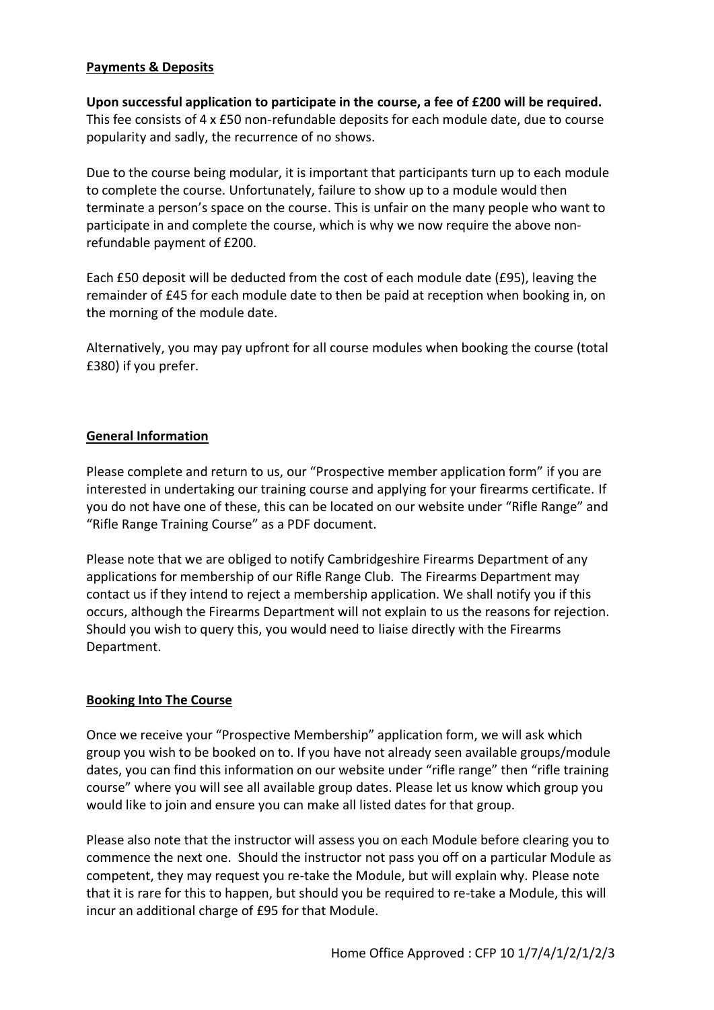# **Payments & Deposits**

**Upon successful application to participate in the course, a fee of £200 will be required.** This fee consists of 4 x £50 non-refundable deposits for each module date, due to course popularity and sadly, the recurrence of no shows.

Due to the course being modular, it is important that participants turn up to each module to complete the course. Unfortunately, failure to show up to a module would then terminate a person's space on the course. This is unfair on the many people who want to participate in and complete the course, which is why we now require the above nonrefundable payment of £200.

Each £50 deposit will be deducted from the cost of each module date (£95), leaving the remainder of £45 for each module date to then be paid at reception when booking in, on the morning of the module date.

Alternatively, you may pay upfront for all course modules when booking the course (total £380) if you prefer.

### **General Information**

Please complete and return to us, our "Prospective member application form" if you are interested in undertaking our training course and applying for your firearms certificate. If you do not have one of these, this can be located on our website under "Rifle Range" and "Rifle Range Training Course" as a PDF document.

Please note that we are obliged to notify Cambridgeshire Firearms Department of any applications for membership of our Rifle Range Club. The Firearms Department may contact us if they intend to reject a membership application. We shall notify you if this occurs, although the Firearms Department will not explain to us the reasons for rejection. Should you wish to query this, you would need to liaise directly with the Firearms Department.

# **Booking Into The Course**

Once we receive your "Prospective Membership" application form, we will ask which group you wish to be booked on to. If you have not already seen available groups/module dates, you can find this information on our website under "rifle range" then "rifle training course" where you will see all available group dates. Please let us know which group you would like to join and ensure you can make all listed dates for that group.

Please also note that the instructor will assess you on each Module before clearing you to commence the next one. Should the instructor not pass you off on a particular Module as competent, they may request you re-take the Module, but will explain why. Please note that it is rare for this to happen, but should you be required to re-take a Module, this will incur an additional charge of £95 for that Module.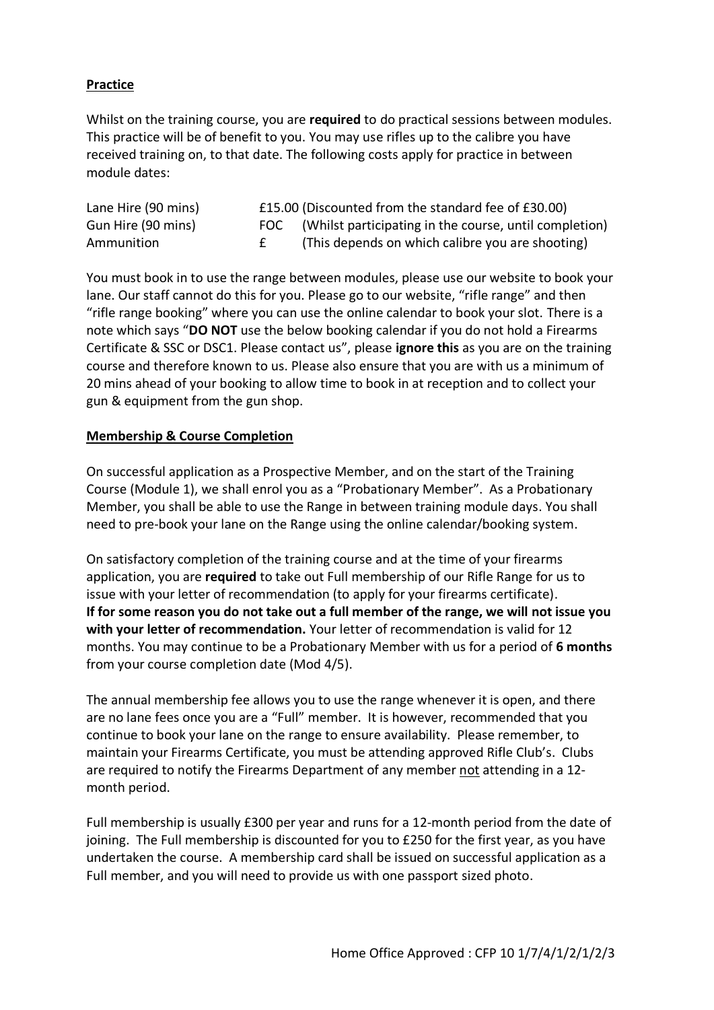# **Practice**

Whilst on the training course, you are **required** to do practical sessions between modules. This practice will be of benefit to you. You may use rifles up to the calibre you have received training on, to that date. The following costs apply for practice in between module dates:

| Lane Hire (90 mins) | £15.00 (Discounted from the standard fee of £30.00)        |
|---------------------|------------------------------------------------------------|
| Gun Hire (90 mins)  | FOC (Whilst participating in the course, until completion) |
| Ammunition          | (This depends on which calibre you are shooting)           |

You must book in to use the range between modules, please use our website to book your lane. Our staff cannot do this for you. Please go to our website, "rifle range" and then "rifle range booking" where you can use the online calendar to book your slot. There is a note which says "**DO NOT** use the below booking calendar if you do not hold a Firearms Certificate & SSC or DSC1. Please contact us", please **ignore this** as you are on the training course and therefore known to us. Please also ensure that you are with us a minimum of 20 mins ahead of your booking to allow time to book in at reception and to collect your gun & equipment from the gun shop.

### **Membership & Course Completion**

On successful application as a Prospective Member, and on the start of the Training Course (Module 1), we shall enrol you as a "Probationary Member". As a Probationary Member, you shall be able to use the Range in between training module days. You shall need to pre-book your lane on the Range using the online calendar/booking system.

On satisfactory completion of the training course and at the time of your firearms application, you are **required** to take out Full membership of our Rifle Range for us to issue with your letter of recommendation (to apply for your firearms certificate). **If for some reason you do not take out a full member of the range, we will not issue you with your letter of recommendation.** Your letter of recommendation is valid for 12 months. You may continue to be a Probationary Member with us for a period of **6 months** from your course completion date (Mod 4/5).

The annual membership fee allows you to use the range whenever it is open, and there are no lane fees once you are a "Full" member. It is however, recommended that you continue to book your lane on the range to ensure availability. Please remember, to maintain your Firearms Certificate, you must be attending approved Rifle Club's. Clubs are required to notify the Firearms Department of any member not attending in a 12 month period.

Full membership is usually £300 per year and runs for a 12-month period from the date of joining. The Full membership is discounted for you to £250 for the first year, as you have undertaken the course. A membership card shall be issued on successful application as a Full member, and you will need to provide us with one passport sized photo.